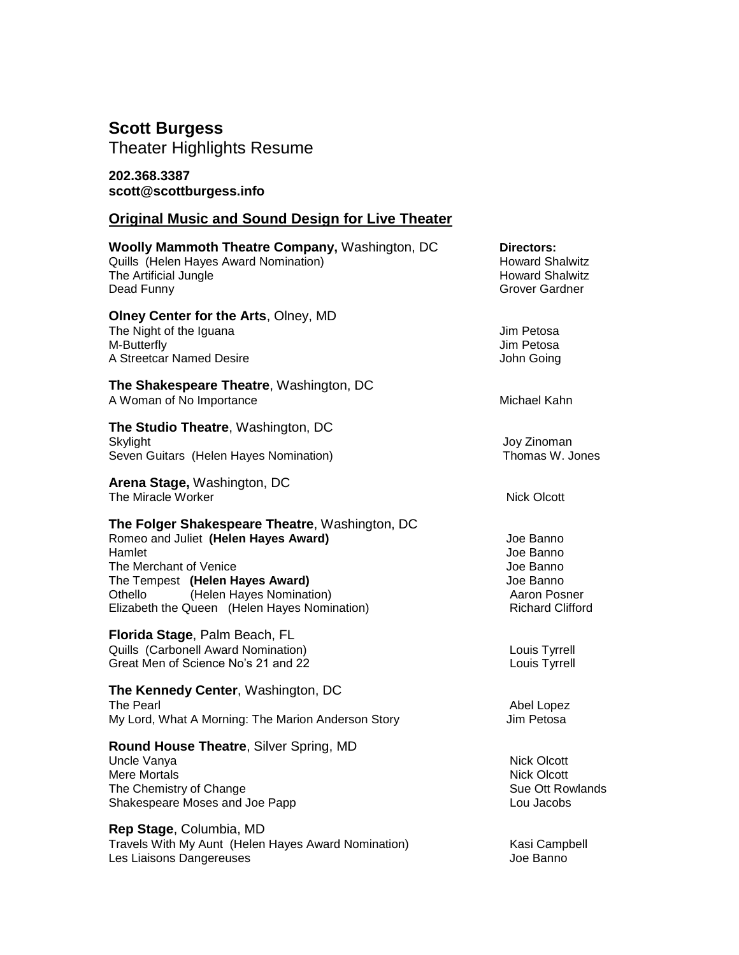## **Scott Burgess**

Theater Highlights Resume

### **202.368.3387 scott@scottburgess.info**

# **Original Music and Sound Design for Live Theater**

| <b>Woolly Mammoth Theatre Company, Washington, DC</b><br>Quills (Helen Hayes Award Nomination)<br>The Artificial Jungle<br>Dead Funny                                                                                                                | Directors:<br><b>Howard Shalwitz</b><br><b>Howard Shalwitz</b><br>Grover Gardner            |
|------------------------------------------------------------------------------------------------------------------------------------------------------------------------------------------------------------------------------------------------------|---------------------------------------------------------------------------------------------|
| Olney Center for the Arts, Olney, MD<br>The Night of the Iguana<br>M-Butterfly<br>A Streetcar Named Desire                                                                                                                                           | Jim Petosa<br>Jim Petosa<br>John Going                                                      |
| The Shakespeare Theatre, Washington, DC<br>A Woman of No Importance                                                                                                                                                                                  | Michael Kahn                                                                                |
| The Studio Theatre, Washington, DC<br>Skylight<br>Seven Guitars (Helen Hayes Nomination)                                                                                                                                                             | Joy Zinoman<br>Thomas W. Jones                                                              |
| Arena Stage, Washington, DC<br>The Miracle Worker                                                                                                                                                                                                    | <b>Nick Olcott</b>                                                                          |
| The Folger Shakespeare Theatre, Washington, DC<br>Romeo and Juliet (Helen Hayes Award)<br>Hamlet<br>The Merchant of Venice<br>The Tempest (Helen Hayes Award)<br>(Helen Hayes Nomination)<br>Othello<br>Elizabeth the Queen (Helen Hayes Nomination) | Joe Banno<br>Joe Banno<br>Joe Banno<br>Joe Banno<br>Aaron Posner<br><b>Richard Clifford</b> |
| Florida Stage, Palm Beach, FL<br>Quills (Carbonell Award Nomination)<br>Great Men of Science No's 21 and 22                                                                                                                                          | Louis Tyrrell<br>Louis Tyrrell                                                              |
| The Kennedy Center, Washington, DC<br>The Pearl<br>My Lord, What A Morning: The Marion Anderson Story                                                                                                                                                | Abel Lopez<br>Jim Petosa                                                                    |
| <b>Round House Theatre, Silver Spring, MD</b><br>Uncle Vanya<br><b>Mere Mortals</b><br>The Chemistry of Change<br>Shakespeare Moses and Joe Papp                                                                                                     | <b>Nick Olcott</b><br><b>Nick Olcott</b><br>Sue Ott Rowlands<br>Lou Jacobs                  |
| Rep Stage, Columbia, MD<br>Travels With My Aunt (Helen Hayes Award Nomination)<br>Les Liaisons Dangereuses                                                                                                                                           | Kasi Campbell<br>Joe Banno                                                                  |